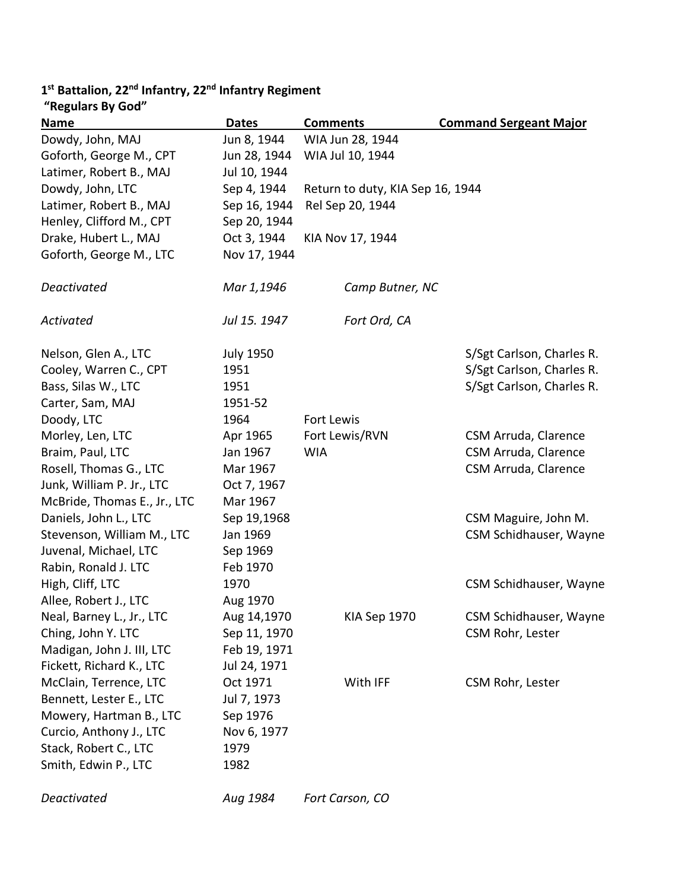## **1st Battalion, 22nd Infantry, 22nd Infantry Regiment**

| "Regulars By God"            |                  |                                  |                               |
|------------------------------|------------------|----------------------------------|-------------------------------|
| <b>Name</b>                  | <b>Dates</b>     | <b>Comments</b>                  | <b>Command Sergeant Major</b> |
| Dowdy, John, MAJ             | Jun 8, 1944      | WIA Jun 28, 1944                 |                               |
| Goforth, George M., CPT      | Jun 28, 1944     | WIA Jul 10, 1944                 |                               |
| Latimer, Robert B., MAJ      | Jul 10, 1944     |                                  |                               |
| Dowdy, John, LTC             | Sep 4, 1944      | Return to duty, KIA Sep 16, 1944 |                               |
| Latimer, Robert B., MAJ      | Sep 16, 1944     | Rel Sep 20, 1944                 |                               |
| Henley, Clifford M., CPT     | Sep 20, 1944     |                                  |                               |
| Drake, Hubert L., MAJ        | Oct 3, 1944      | KIA Nov 17, 1944                 |                               |
| Goforth, George M., LTC      | Nov 17, 1944     |                                  |                               |
| Deactivated                  | Mar 1,1946       | Camp Butner, NC                  |                               |
| Activated                    | Jul 15. 1947     | Fort Ord, CA                     |                               |
| Nelson, Glen A., LTC         | <b>July 1950</b> |                                  | S/Sgt Carlson, Charles R.     |
| Cooley, Warren C., CPT       | 1951             |                                  | S/Sgt Carlson, Charles R.     |
| Bass, Silas W., LTC          | 1951             |                                  | S/Sgt Carlson, Charles R.     |
| Carter, Sam, MAJ             | 1951-52          |                                  |                               |
| Doody, LTC                   | 1964             | Fort Lewis                       |                               |
| Morley, Len, LTC             | Apr 1965         | Fort Lewis/RVN                   | CSM Arruda, Clarence          |
| Braim, Paul, LTC             | Jan 1967         | <b>WIA</b>                       | CSM Arruda, Clarence          |
| Rosell, Thomas G., LTC       | Mar 1967         |                                  | CSM Arruda, Clarence          |
| Junk, William P. Jr., LTC    | Oct 7, 1967      |                                  |                               |
| McBride, Thomas E., Jr., LTC | Mar 1967         |                                  |                               |
| Daniels, John L., LTC        | Sep 19,1968      |                                  | CSM Maguire, John M.          |
| Stevenson, William M., LTC   | Jan 1969         |                                  | CSM Schidhauser, Wayne        |
| Juvenal, Michael, LTC        | Sep 1969         |                                  |                               |
| Rabin, Ronald J. LTC         | Feb 1970         |                                  |                               |
| High, Cliff, LTC             | 1970             |                                  | CSM Schidhauser, Wayne        |
| Allee, Robert J., LTC        | Aug 1970         |                                  |                               |
| Neal, Barney L., Jr., LTC    | Aug 14,1970      | KIA Sep 1970                     | CSM Schidhauser, Wayne        |
| Ching, John Y. LTC           | Sep 11, 1970     |                                  | CSM Rohr, Lester              |
| Madigan, John J. III, LTC    | Feb 19, 1971     |                                  |                               |
| Fickett, Richard K., LTC     | Jul 24, 1971     |                                  |                               |
| McClain, Terrence, LTC       | Oct 1971         | With IFF                         | CSM Rohr, Lester              |
| Bennett, Lester E., LTC      | Jul 7, 1973      |                                  |                               |
| Mowery, Hartman B., LTC      | Sep 1976         |                                  |                               |
| Curcio, Anthony J., LTC      | Nov 6, 1977      |                                  |                               |
| Stack, Robert C., LTC        | 1979             |                                  |                               |
| Smith, Edwin P., LTC         | 1982             |                                  |                               |
|                              |                  |                                  |                               |

*Deactivated Aug 1984 Fort Carson, CO*